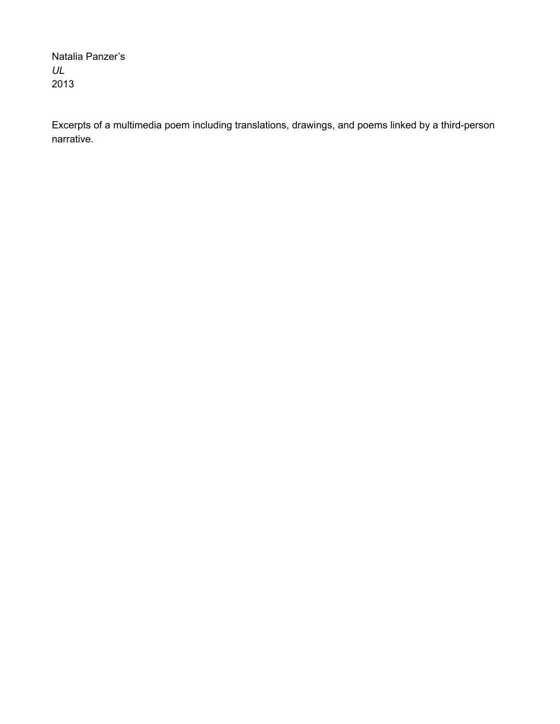Natalia Panzer's *UL* 2013

Excerpts of a multimedia poem including translations, drawings, and poems linked by a third-person narrative.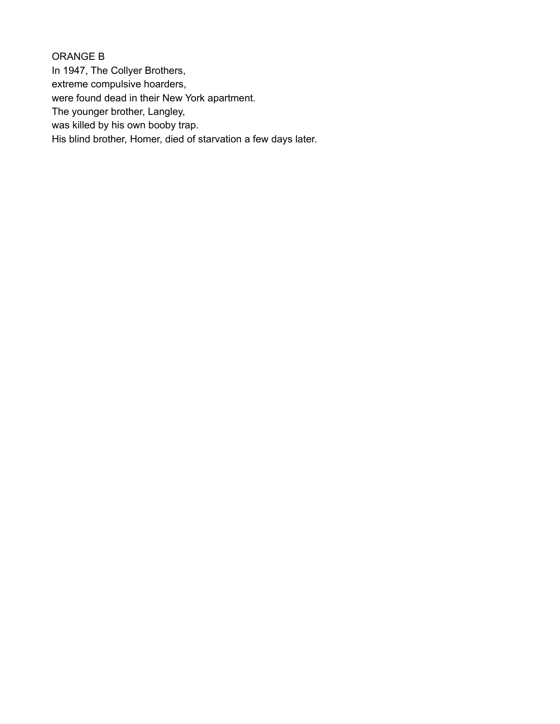ORANGE B In 1947, The Collyer Brothers, extreme compulsive hoarders, were found dead in their New York apartment. The younger brother, Langley, was killed by his own booby trap. His blind brother, Homer, died of starvation a few days later.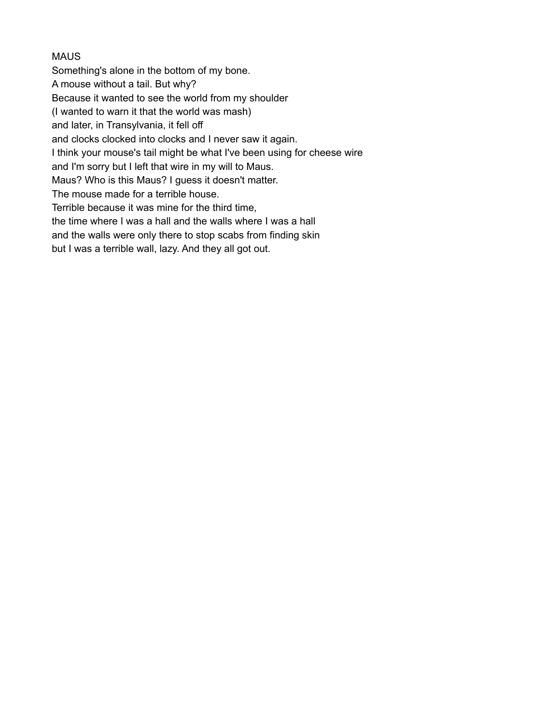## **MAUS**

Something's alone in the bottom of my bone.

A mouse without a tail. But why?

Because it wanted to see the world from my shoulder

(I wanted to warn it that the world was mash)

and later, in Transylvania, it fell off

and clocks clocked into clocks and I never saw it again.

I think your mouse's tail might be what I've been using for cheese wire

and I'm sorry but I left that wire in my will to Maus.

Maus? Who is this Maus? I guess it doesn't matter.

The mouse made for a terrible house.

Terrible because it was mine for the third time,

the time where I was a hall and the walls where I was a hall

and the walls were only there to stop scabs from finding skin

but I was a terrible wall, lazy. And they all got out.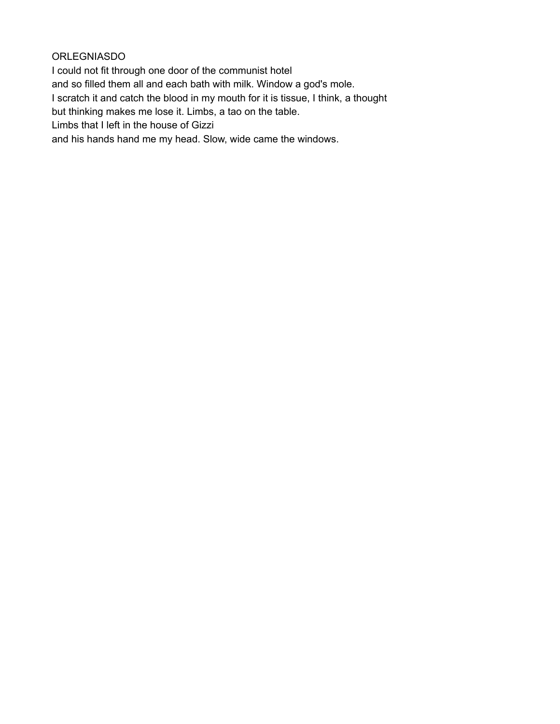ORLEGNIASDO

I could not fit through one door of the communist hotel and so filled them all and each bath with milk. Window a god's mole. I scratch it and catch the blood in my mouth for it is tissue, I think, a thought but thinking makes me lose it. Limbs, a tao on the table. Limbs that I left in the house of Gizzi and his hands hand me my head. Slow, wide came the windows.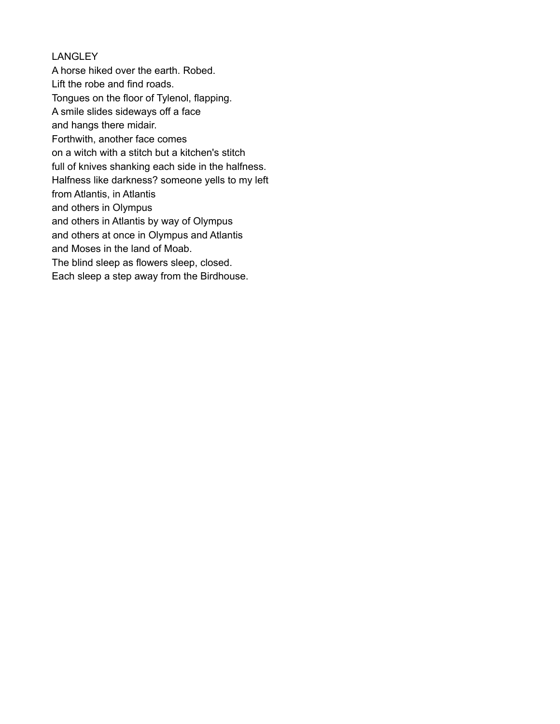## **LANGLEY**

A horse hiked over the earth. Robed. Lift the robe and find roads. Tongues on the floor of Tylenol, flapping. A smile slides sideways off a face and hangs there midair. Forthwith, another face comes on a witch with a stitch but a kitchen's stitch full of knives shanking each side in the halfness. Halfness like darkness? someone yells to my left from Atlantis, in Atlantis and others in Olympus and others in Atlantis by way of Olympus and others at once in Olympus and Atlantis and Moses in the land of Moab. The blind sleep as flowers sleep, closed. Each sleep a step away from the Birdhouse.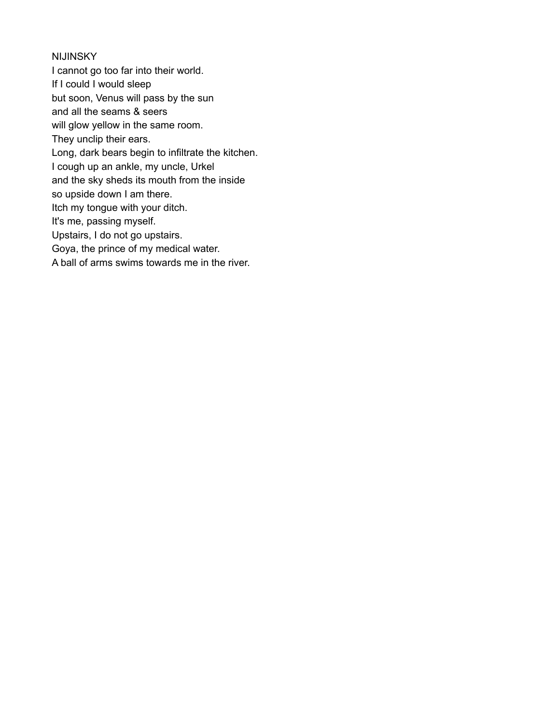### **NIJINSKY**

I cannot go too far into their world. If I could I would sleep but soon, Venus will pass by the sun and all the seams & seers will glow yellow in the same room. They unclip their ears. Long, dark bears begin to infiltrate the kitchen. I cough up an ankle, my uncle, Urkel and the sky sheds its mouth from the inside so upside down I am there. Itch my tongue with your ditch. It's me, passing myself. Upstairs, I do not go upstairs. Goya, the prince of my medical water. A ball of arms swims towards me in the river.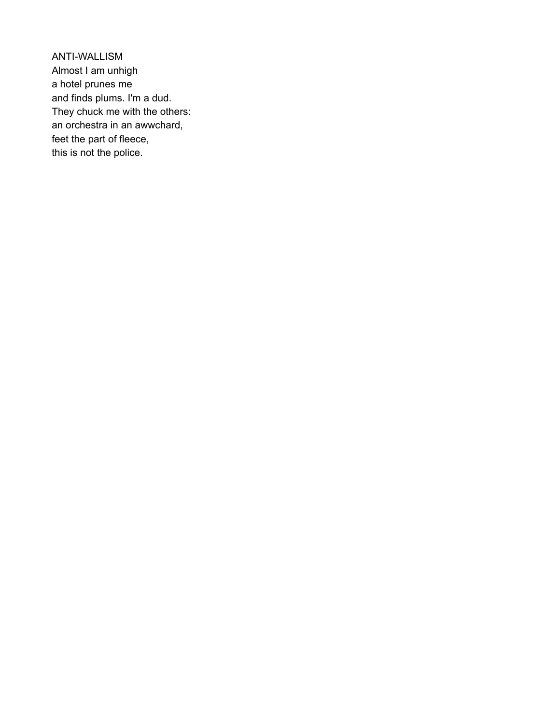ANTI-WALLISM Almost I am unhigh a hotel prunes me and finds plums. I'm a dud. They chuck me with the others: an orchestra in an awwchard, feet the part of fleece, this is not the police.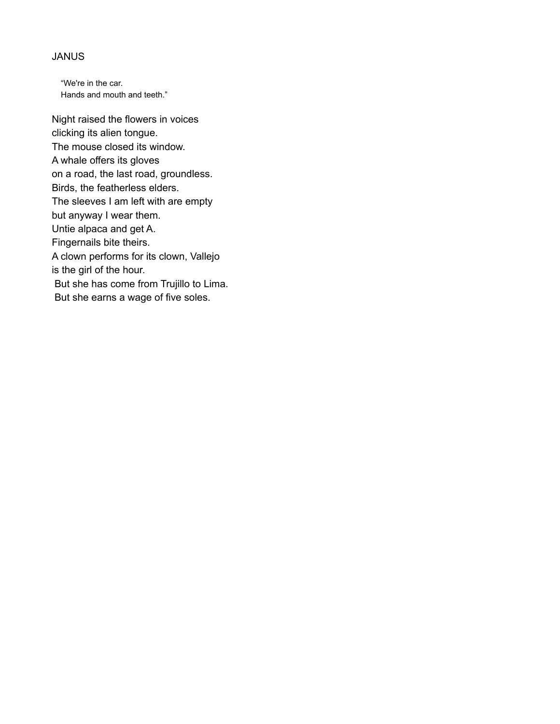#### JANUS

"We're in the car. Hands and mouth and teeth."

Night raised the flowers in voices clicking its alien tongue. The mouse closed its window. A whale offers its gloves on a road, the last road, groundless. Birds, the featherless elders. The sleeves I am left with are empty but anyway I wear them. Untie alpaca and get A. Fingernails bite theirs. A clown performs for its clown, Vallejo is the girl of the hour. But she has come from Trujillo to Lima. But she earns a wage of five soles.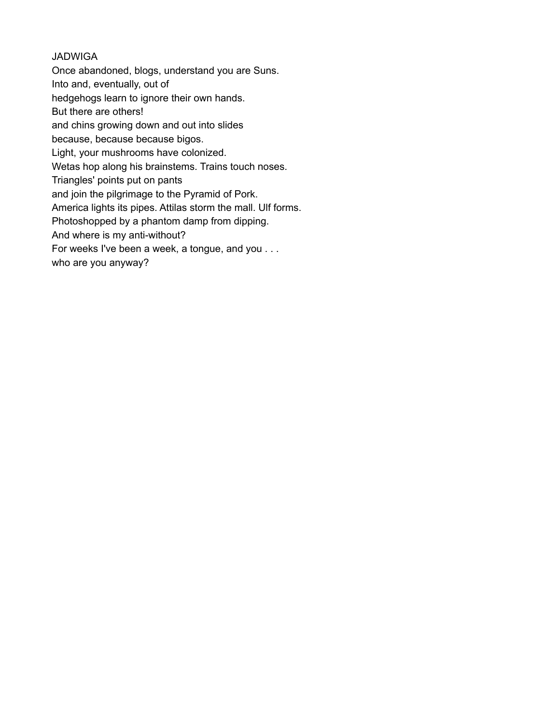## JADWIGA

Once abandoned, blogs, understand you are Suns.

Into and, eventually, out of

hedgehogs learn to ignore their own hands.

But there are others!

and chins growing down and out into slides

because, because because bigos.

Light, your mushrooms have colonized.

Wetas hop along his brainstems. Trains touch noses.

Triangles' points put on pants

and join the pilgrimage to the Pyramid of Pork.

America lights its pipes. Attilas storm the mall. Ulf forms.

Photoshopped by a phantom damp from dipping.

And where is my anti-without?

For weeks I've been a week, a tongue, and you . . .

who are you anyway?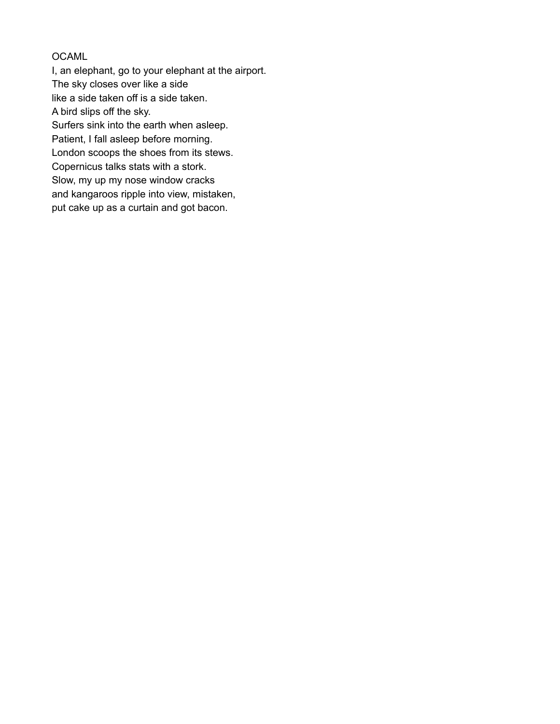## OCAML

I, an elephant, go to your elephant at the airport. The sky closes over like a side like a side taken off is a side taken. A bird slips off the sky. Surfers sink into the earth when asleep. Patient, I fall asleep before morning. London scoops the shoes from its stews. Copernicus talks stats with a stork. Slow, my up my nose window cracks and kangaroos ripple into view, mistaken, put cake up as a curtain and got bacon.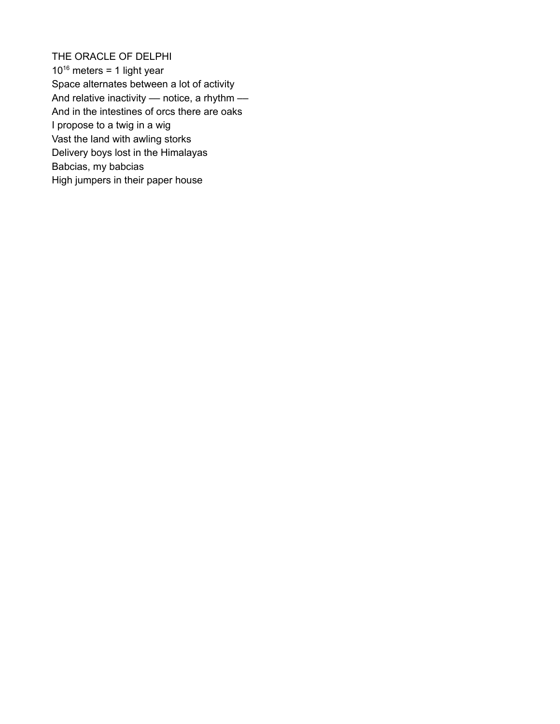THE ORACLE OF DELPHI  $10^{16}$  meters = 1 light year Space alternates between a lot of activity And relative inactivity  $-$  notice, a rhythm  $-$ And in the intestines of orcs there are oaks I propose to a twig in a wig Vast the land with awling storks Delivery boys lost in the Himalayas Babcias, my babcias High jumpers in their paper house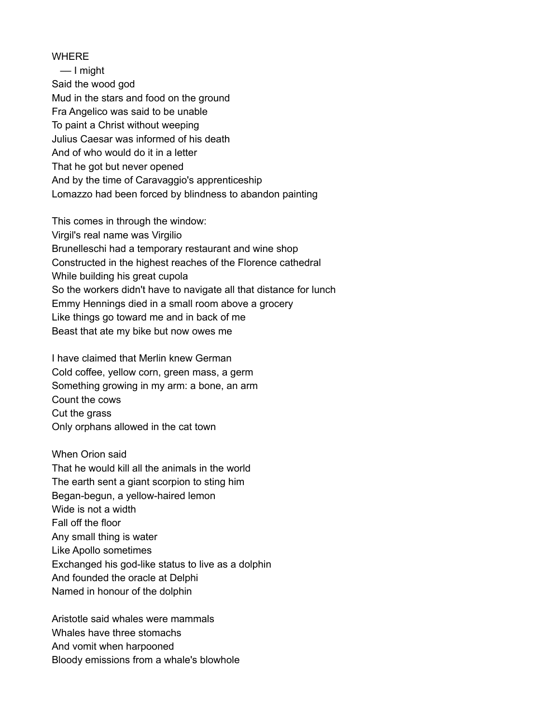WHERE –– I might Said the wood god Mud in the stars and food on the ground Fra Angelico was said to be unable To paint a Christ without weeping Julius Caesar was informed of his death And of who would do it in a letter That he got but never opened And by the time of Caravaggio's apprenticeship Lomazzo had been forced by blindness to abandon painting

This comes in through the window: Virgil's real name was Virgilio Brunelleschi had a temporary restaurant and wine shop Constructed in the highest reaches of the Florence cathedral While building his great cupola So the workers didn't have to navigate all that distance for lunch Emmy Hennings died in a small room above a grocery Like things go toward me and in back of me Beast that ate my bike but now owes me

I have claimed that Merlin knew German Cold coffee, yellow corn, green mass, a germ Something growing in my arm: a bone, an arm Count the cows Cut the grass Only orphans allowed in the cat town

When Orion said That he would kill all the animals in the world The earth sent a giant scorpion to sting him Began-begun, a yellow-haired lemon Wide is not a width Fall off the floor Any small thing is water Like Apollo sometimes Exchanged his god-like status to live as a dolphin And founded the oracle at Delphi Named in honour of the dolphin

Aristotle said whales were mammals Whales have three stomachs And vomit when harpooned Bloody emissions from a whale's blowhole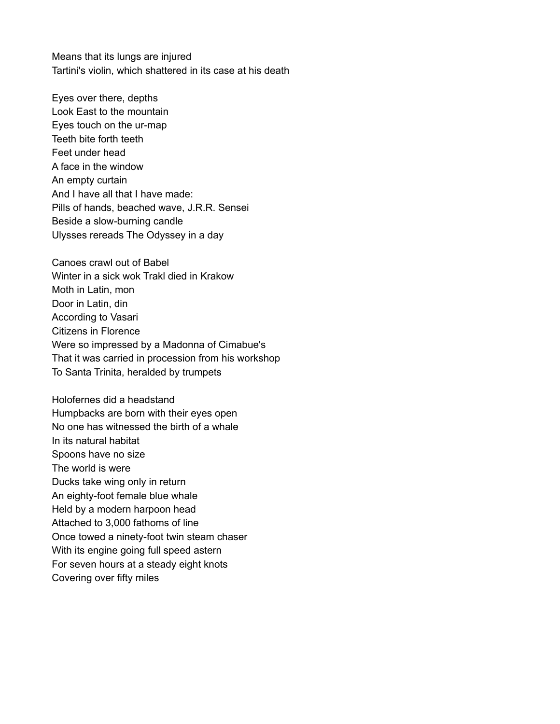Means that its lungs are injured Tartini's violin, which shattered in its case at his death

Eyes over there, depths Look East to the mountain Eyes touch on the ur-map Teeth bite forth teeth Feet under head A face in the window An empty curtain And I have all that I have made: Pills of hands, beached wave, J.R.R. Sensei Beside a slow-burning candle Ulysses rereads The Odyssey in a day

Canoes crawl out of Babel Winter in a sick wok Trakl died in Krakow Moth in Latin, mon Door in Latin, din According to Vasari Citizens in Florence Were so impressed by a Madonna of Cimabue's That it was carried in procession from his workshop To Santa Trinita, heralded by trumpets

Holofernes did a headstand Humpbacks are born with their eyes open No one has witnessed the birth of a whale In its natural habitat Spoons have no size The world is were Ducks take wing only in return An eighty-foot female blue whale Held by a modern harpoon head Attached to 3,000 fathoms of line Once towed a ninety-foot twin steam chaser With its engine going full speed astern For seven hours at a steady eight knots Covering over fifty miles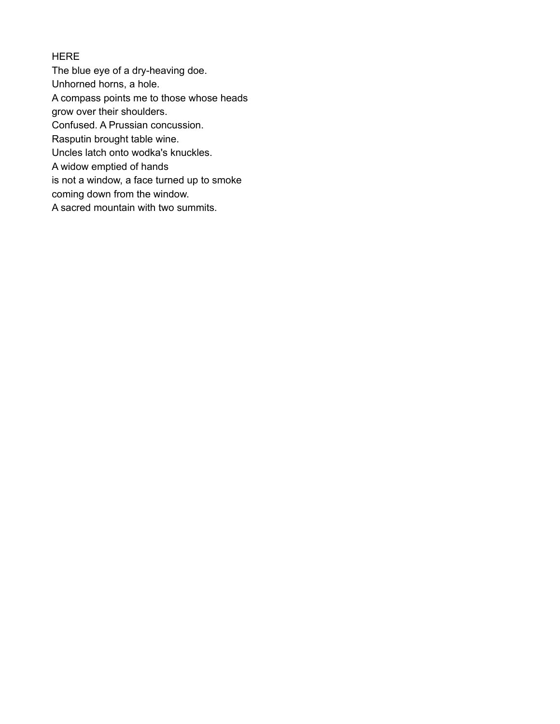# **HERE**

The blue eye of a dry-heaving doe.

Unhorned horns, a hole.

A compass points me to those whose heads

grow over their shoulders.

Confused. A Prussian concussion.

Rasputin brought table wine.

Uncles latch onto wodka's knuckles.

A widow emptied of hands

is not a window, a face turned up to smoke

coming down from the window.

A sacred mountain with two summits.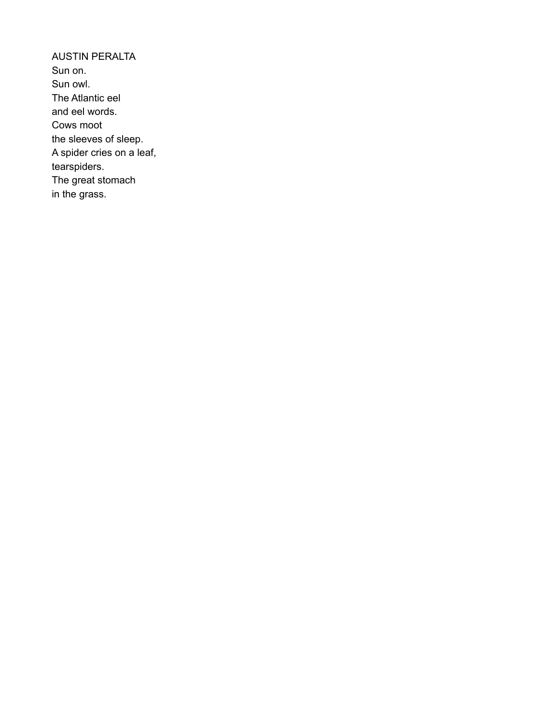AUSTIN PERALTA Sun on. Sun owl. The Atlantic eel and eel words. Cows moot the sleeves of sleep. A spider cries on a leaf, tearspiders. The great stomach in the grass.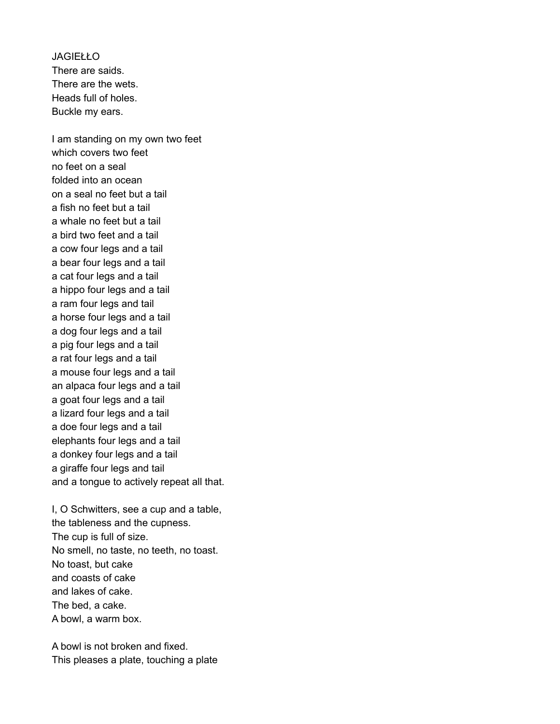JAGIEŁŁO There are saids. There are the wets. Heads full of holes. Buckle my ears.

I am standing on my own two feet which covers two feet no feet on a seal folded into an ocean on a seal no feet but a tail a fish no feet but a tail a whale no feet but a tail a bird two feet and a tail a cow four legs and a tail a bear four legs and a tail a cat four legs and a tail a hippo four legs and a tail a ram four legs and tail a horse four legs and a tail a dog four legs and a tail a pig four legs and a tail a rat four legs and a tail a mouse four legs and a tail an alpaca four legs and a tail a goat four legs and a tail a lizard four legs and a tail a doe four legs and a tail elephants four legs and a tail a donkey four legs and a tail a giraffe four legs and tail and a tongue to actively repeat all that.

I, O Schwitters, see a cup and a table, the tableness and the cupness. The cup is full of size. No smell, no taste, no teeth, no toast. No toast, but cake and coasts of cake and lakes of cake. The bed, a cake. A bowl, a warm box.

A bowl is not broken and fixed. This pleases a plate, touching a plate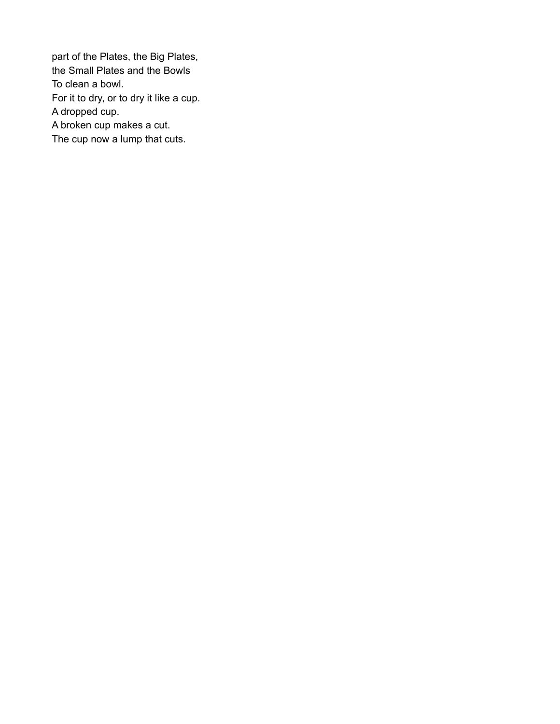part of the Plates, the Big Plates, the Small Plates and the Bowls To clean a bowl. For it to dry, or to dry it like a cup. A dropped cup. A broken cup makes a cut. The cup now a lump that cuts.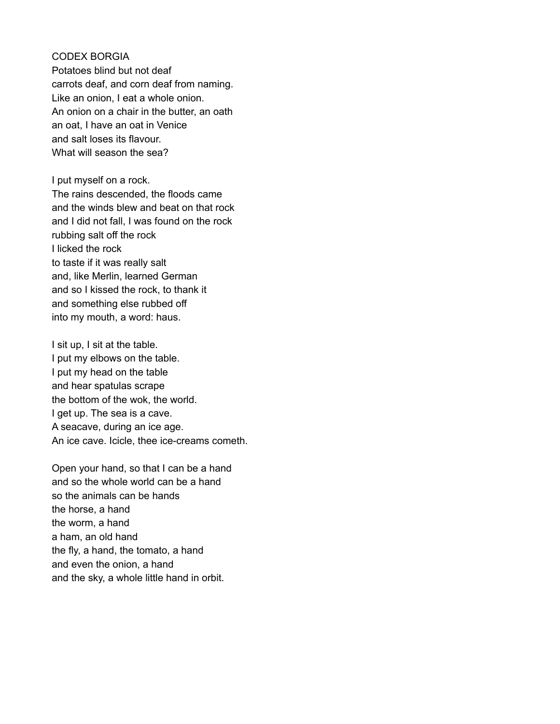CODEX BORGIA Potatoes blind but not deaf carrots deaf, and corn deaf from naming. Like an onion, I eat a whole onion. An onion on a chair in the butter, an oath an oat, I have an oat in Venice and salt loses its flavour. What will season the sea?

I put myself on a rock. The rains descended, the floods came and the winds blew and beat on that rock and I did not fall, I was found on the rock rubbing salt off the rock I licked the rock to taste if it was really salt and, like Merlin, learned German and so I kissed the rock, to thank it and something else rubbed off into my mouth, a word: haus.

I sit up, I sit at the table. I put my elbows on the table. I put my head on the table and hear spatulas scrape the bottom of the wok, the world. I get up. The sea is a cave. A seacave, during an ice age. An ice cave. Icicle, thee ice-creams cometh.

Open your hand, so that I can be a hand and so the whole world can be a hand so the animals can be hands the horse, a hand the worm, a hand a ham, an old hand the fly, a hand, the tomato, a hand and even the onion, a hand and the sky, a whole little hand in orbit.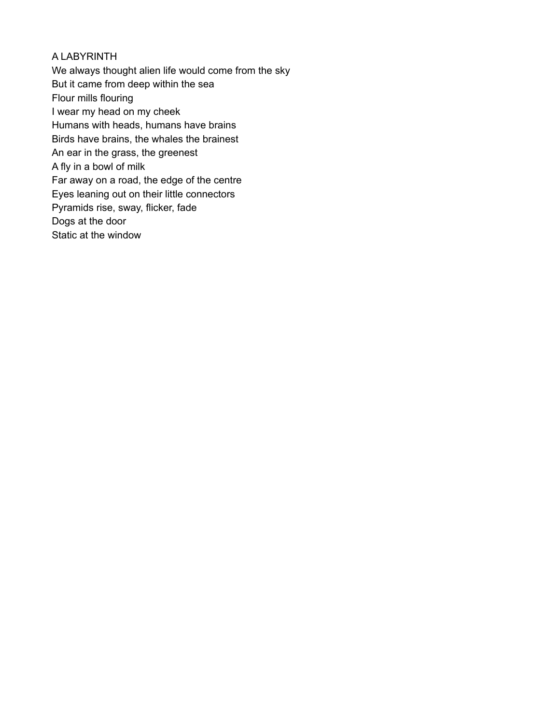## A LABYRINTH

We always thought alien life would come from the sky But it came from deep within the sea Flour mills flouring I wear my head on my cheek Humans with heads, humans have brains Birds have brains, the whales the brainest An ear in the grass, the greenest A fly in a bowl of milk Far away on a road, the edge of the centre Eyes leaning out on their little connectors Pyramids rise, sway, flicker, fade Dogs at the door Static at the window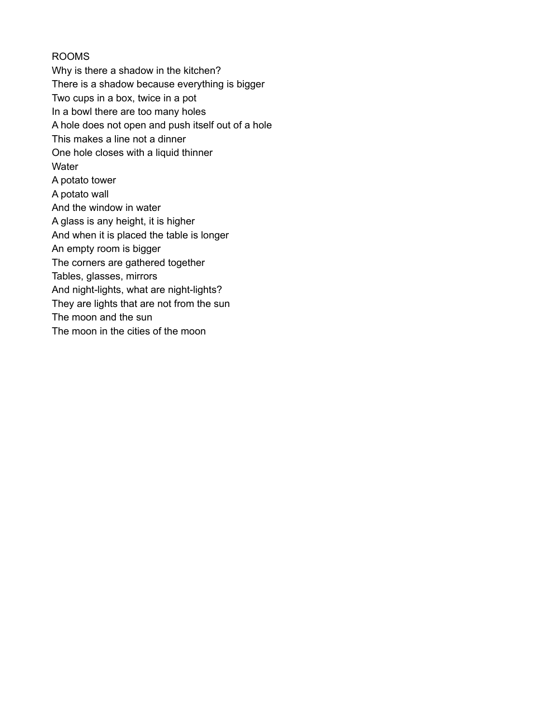## ROOMS

Why is there a shadow in the kitchen? There is a shadow because everything is bigger Two cups in a box, twice in a pot In a bowl there are too many holes A hole does not open and push itself out of a hole This makes a line not a dinner One hole closes with a liquid thinner **Water** A potato tower A potato wall And the window in water A glass is any height, it is higher And when it is placed the table is longer An empty room is bigger The corners are gathered together Tables, glasses, mirrors And night-lights, what are night-lights? They are lights that are not from the sun The moon and the sun The moon in the cities of the moon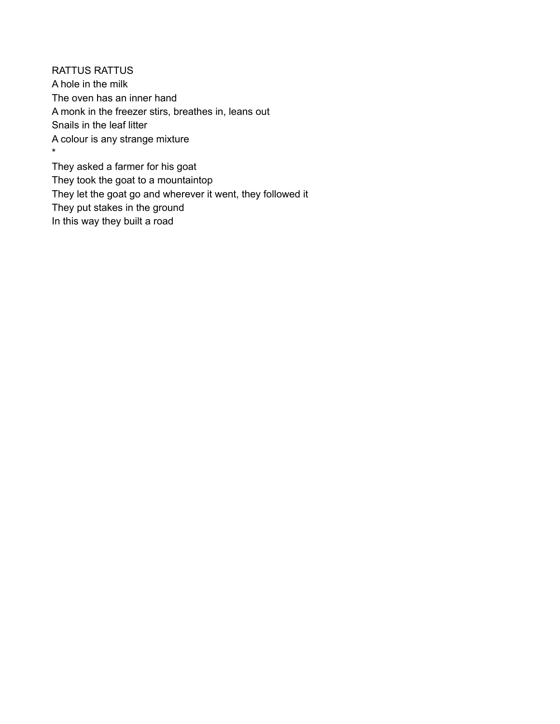RATTUS RATTUS A hole in the milk The oven has an inner hand A monk in the freezer stirs, breathes in, leans out Snails in the leaf litter A colour is any strange mixture \*

They asked a farmer for his goat They took the goat to a mountaintop They let the goat go and wherever it went, they followed it They put stakes in the ground In this way they built a road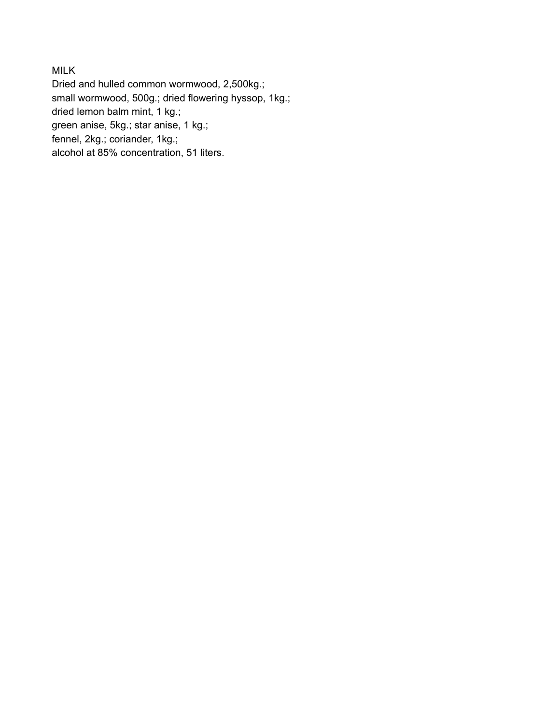MILK

Dried and hulled common wormwood, 2,500kg.; small wormwood, 500g.; dried flowering hyssop, 1kg.; dried lemon balm mint, 1 kg.; green anise, 5kg.; star anise, 1 kg.; fennel, 2kg.; coriander, 1kg.; alcohol at 85% concentration, 51 liters.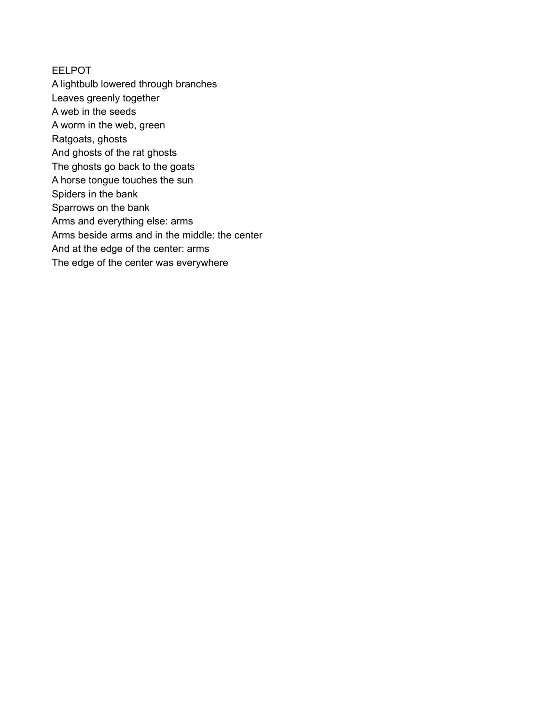#### EELPOT

A lightbulb lowered through branches Leaves greenly together A web in the seeds A worm in the web, green Ratgoats, ghosts And ghosts of the rat ghosts The ghosts go back to the goats A horse tongue touches the sun Spiders in the bank Sparrows on the bank Arms and everything else: arms Arms beside arms and in the middle: the center And at the edge of the center: arms The edge of the center was everywhere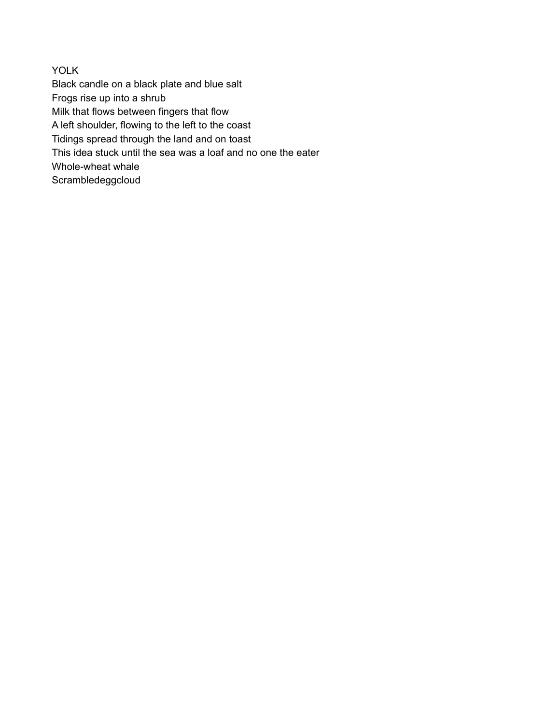YOLK Black candle on a black plate and blue salt Frogs rise up into a shrub Milk that flows between fingers that flow A left shoulder, flowing to the left to the coast Tidings spread through the land and on toast This idea stuck until the sea was a loaf and no one the eater Whole-wheat whale **Scrambledeggcloud**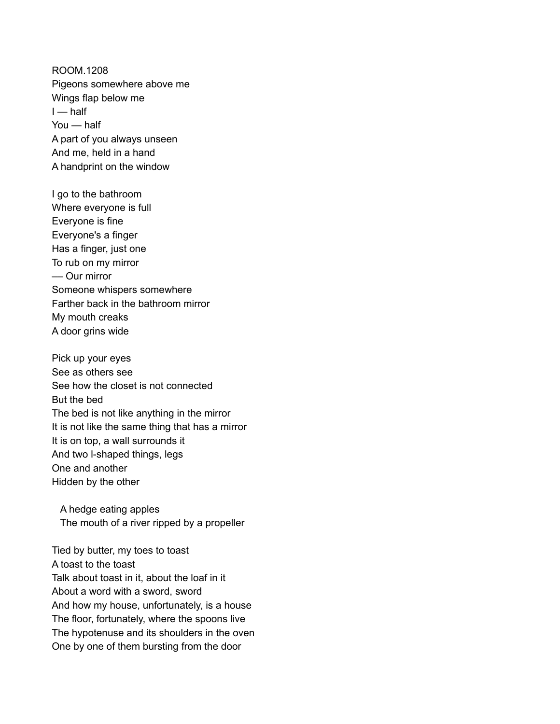ROOM.1208 Pigeons somewhere above me Wings flap below me  $I$  — half You — half A part of you always unseen And me, held in a hand A handprint on the window

I go to the bathroom Where everyone is full Everyone is fine Everyone's a finger Has a finger, just one To rub on my mirror –– Our mirror Someone whispers somewhere Farther back in the bathroom mirror My mouth creaks A door grins wide

Pick up your eyes See as others see See how the closet is not connected But the bed The bed is not like anything in the mirror It is not like the same thing that has a mirror It is on top, a wall surrounds it And two l-shaped things, legs One and another Hidden by the other

A hedge eating apples The mouth of a river ripped by a propeller

Tied by butter, my toes to toast A toast to the toast Talk about toast in it, about the loaf in it About a word with a sword, sword And how my house, unfortunately, is a house The floor, fortunately, where the spoons live The hypotenuse and its shoulders in the oven One by one of them bursting from the door